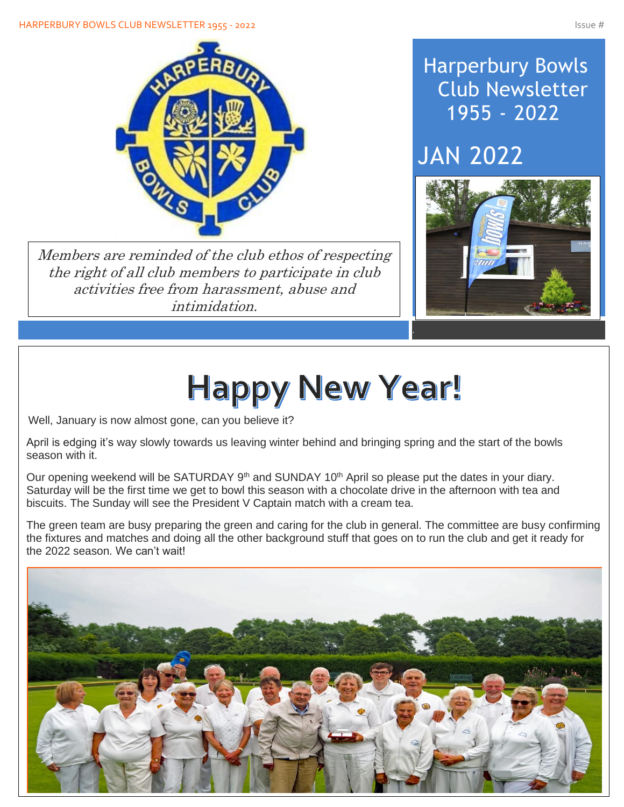

Members are reminded of the club ethos of respecting the right of all club members to participate in club activities free from harassment, abuse and intimidation.

## Harperbury Bowls Club Newsletter 1955 - 2022

# JAN 2022



# **Happy New Year!**

Well, January is now almost gone, can you believe it?

April is edging it's way slowly towards us leaving winter behind and bringing spring and the start of the bowls season with it.

Our opening weekend will be SATURDAY 9<sup>th</sup> and SUNDAY 10<sup>th</sup> April so please put the dates in your diary. Saturday will be the first time we get to bowl this season with a chocolate drive in the afternoon with tea and biscuits. The Sunday will see the President V Captain match with a cream tea.

The green team are busy preparing the green and caring for the club in general. The committee are busy confirming the fixtures and matches and doing all the other background stuff that goes on to run the club and get it ready for the 2022 season. We can't wait!

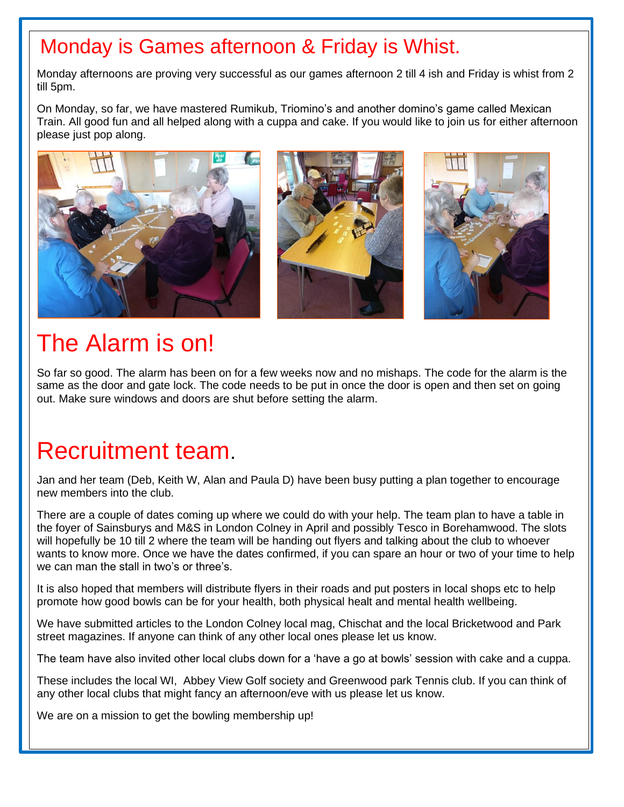## Monday is Games afternoon & Friday is Whist.

Monday afternoons are proving very successful as our games afternoon 2 till 4 ish and Friday is whist from 2 till 5pm.

On Monday, so far, we have mastered Rumikub, Triomino's and another domino's game called Mexican Train. All good fun and all helped along with a cuppa and cake. If you would like to join us for either afternoon please just pop along.



# The Alarm is on!

Í

 $\overline{\phantom{a}}$ 

I

I

I

I

I

I

I

I

So far so good. The alarm has been on for a few weeks now and no mishaps. The code for the alarm is the same as the door and gate lock. The code needs to be put in once the door is open and then set on going out. Make sure windows and doors are shut before setting the alarm.

# Recruitment team.

Jan and her team (Deb, Keith W, Alan and Paula D) have been busy putting a plan together to encourage new members into the club.

There are a couple of dates coming up where we could do with your help. The team plan to have a table in the foyer of Sainsburys and M&S in London Colney in April and possibly Tesco in Borehamwood. The slots will hopefully be 10 till 2 where the team will be handing out flyers and talking about the club to whoever wants to know more. Once we have the dates confirmed, if you can spare an hour or two of your time to help we can man the stall in two's or three's.

It is also hoped that members will distribute flyers in their roads and put posters in local shops etc to help promote how good bowls can be for your health, both physical healt and mental health wellbeing.

We have submitted articles to the London Colney local mag, Chischat and the local Bricketwood and Park street magazines. If anyone can think of any other local ones please let us know.

The team have also invited other local clubs down for a 'have a go at bowls' session with cake and a cuppa.

These includes the local WI, Abbey View Golf society and Greenwood park Tennis club. If you can think of any other local clubs that might fancy an afternoon/eve with us please let us know.

We are on a mission to get the bowling membership up!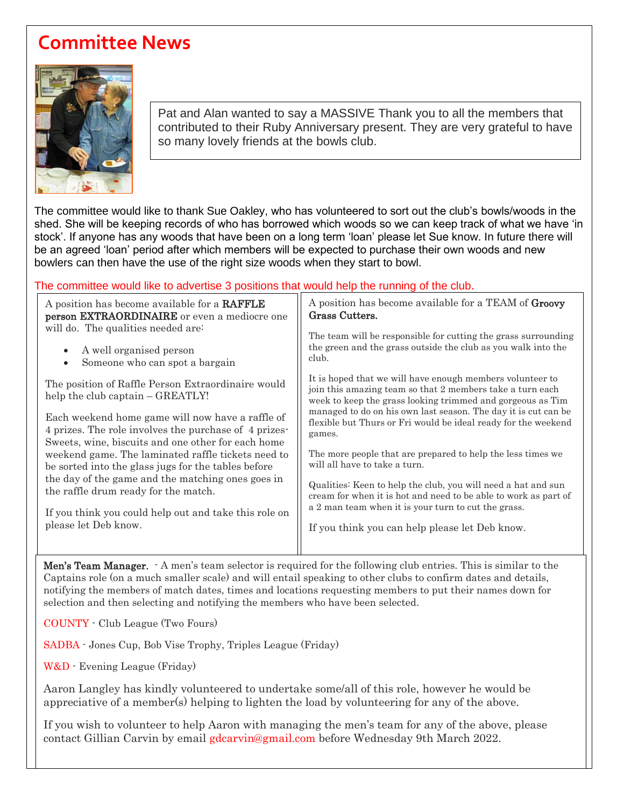### **Committee News**



 $\overline{\phantom{a}}$ 

Pat and Alan wanted to say a MASSIVE Thank you to all the members that contributed to their Ruby Anniversary present. They are very grateful to have so many lovely friends at the bowls club.

The committee would like to thank Sue Oakley, who has volunteered to sort out the club's bowls/woods in the shed. She will be keeping records of who has borrowed which woods so we can keep track of what we have 'in stock'. If anyone has any woods that have been on a long term 'loan' please let Sue know. In future there will be an agreed 'loan' period after which members will be expected to purchase their own woods and new bowlers can then have the use of the right size woods when they start to bowl.

#### The committee would like to advertise 3 positions that would help the running of the club.

| A position has become available for a RAFFLE                                           | A position has become available for a TEAM of Groovy                                                                                                                                 |
|----------------------------------------------------------------------------------------|--------------------------------------------------------------------------------------------------------------------------------------------------------------------------------------|
| <b>person EXTRAORDINAIRE</b> or even a mediocre one                                    | Grass Cutters.                                                                                                                                                                       |
| will do. The qualities needed are:                                                     | The team will be responsible for cutting the grass surrounding                                                                                                                       |
| A well organised person<br>$\bullet$<br>Someone who can spot a bargain                 | the green and the grass outside the club as you walk into the<br>club.                                                                                                               |
| The position of Raffle Person Extraordinaire would<br>help the club captain – GREATLY! | It is hoped that we will have enough members volunteer to<br>join this amazing team so that 2 members take a turn each<br>week to keep the grass looking trimmed and gorgeous as Tim |
| Each weekend home game will now have a raffle of                                       | managed to do on his own last season. The day it is cut can be                                                                                                                       |
| 4 prizes. The role involves the purchase of 4 prizes-                                  | flexible but Thurs or Fri would be ideal ready for the weekend                                                                                                                       |
| Sweets, wine, biscuits and one other for each home                                     | games.                                                                                                                                                                               |
| weekend game. The laminated raffle tickets need to                                     | The more people that are prepared to help the less times we                                                                                                                          |
| be sorted into the glass jugs for the tables before                                    | will all have to take a turn.                                                                                                                                                        |
| the day of the game and the matching ones goes in                                      | Qualities: Keen to help the club, you will need a hat and sun                                                                                                                        |
| the raffle drum ready for the match.                                                   | cream for when it is hot and need to be able to work as part of                                                                                                                      |
| If you think you could help out and take this role on                                  | a 2 man team when it is your turn to cut the grass.                                                                                                                                  |
| please let Deb know.                                                                   | If you think you can help please let Deb know.                                                                                                                                       |
|                                                                                        |                                                                                                                                                                                      |

Men's Team Manager. - A men's team selector is required for the following club entries. This is similar to the Captains role (on a much smaller scale) and will entail speaking to other clubs to confirm dates and details, notifying the members of match dates, times and locations requesting members to put their names down for selection and then selecting and notifying the members who have been selected.

COUNTY - Club League (Two Fours)

SADBA - Jones Cup, Bob Vise Trophy, Triples League (Friday)

W&D - Evening League (Friday)

Aaron Langley has kindly volunteered to undertake some/all of this role, however he would be appreciative of a member(s) helping to lighten the load by volunteering for any of the above.

If you wish to volunteer to help Aaron with managing the men's team for any of the above, please contact Gillian Carvin by email gdcarvin@gmail.com before Wednesday 9th March 2022.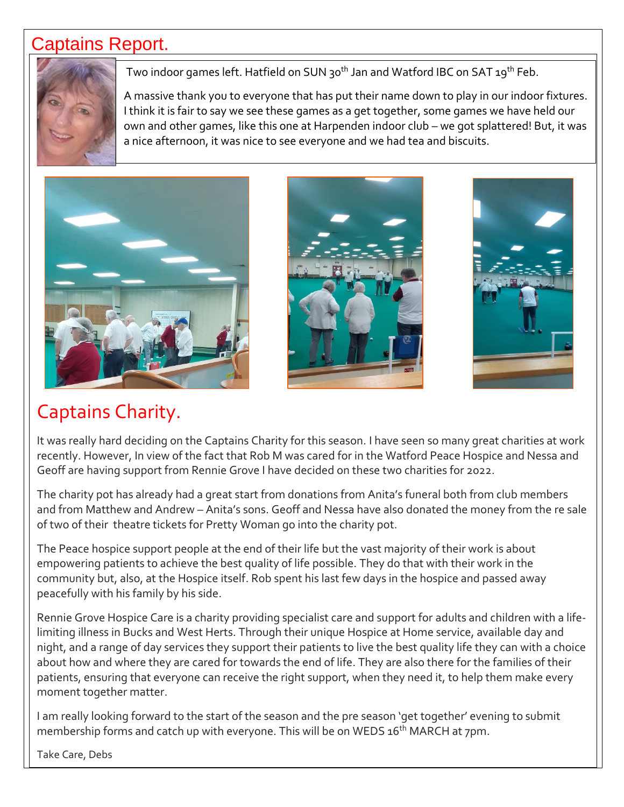#### Captains Report.



Two indoor games left. Hatfield on SUN 30<sup>th</sup> Jan and Watford IBC on SAT 19<sup>th</sup> Feb.

A massive thank you to everyone that has put their name down to play in our indoor fixtures. I think it is fair to say we see these games as a get together, some games we have held our own and other games, like this one at Harpenden indoor club – we got splattered! But, it was a nice afternoon, it was nice to see everyone and we had tea and biscuits.







### Captains Charity.

It was really hard deciding on the Captains Charity for this season. I have seen so many great charities at work recently. However, In view of the fact that Rob M was cared for in the Watford Peace Hospice and Nessa and Geoff are having support from Rennie Grove I have decided on these two charities for 2022.

The charity pot has already had a great start from donations from Anita's funeral both from club members and from Matthew and Andrew – Anita's sons. Geoff and Nessa have also donated the money from the re sale of two of their theatre tickets for Pretty Woman go into the charity pot.

The Peace hospice support people at the end of their life but the vast majority of their work is about empowering patients to achieve the best quality of life possible. They do that with their work in the community but, also, at the Hospice itself. Rob spent his last few days in the hospice and passed away peacefully with his family by his side.

Rennie Grove Hospice Care is a charity providing specialist care and support for adults and children with a lifelimiting illness in Bucks and West Herts. Through their unique Hospice at Home service, available day and night, and a range of day services they support their patients to live the best quality life they can with a choice about how and where they are cared for towards the end of life. They are also there for the families of their patients, ensuring that everyone can receive the right support, when they need it, to help them make every moment together matter.

I am really looking forward to the start of the season and the pre season 'get together' evening to submit membership forms and catch up with everyone. This will be on WEDS 16<sup>th</sup> MARCH at 7pm.

Take Care, Debs